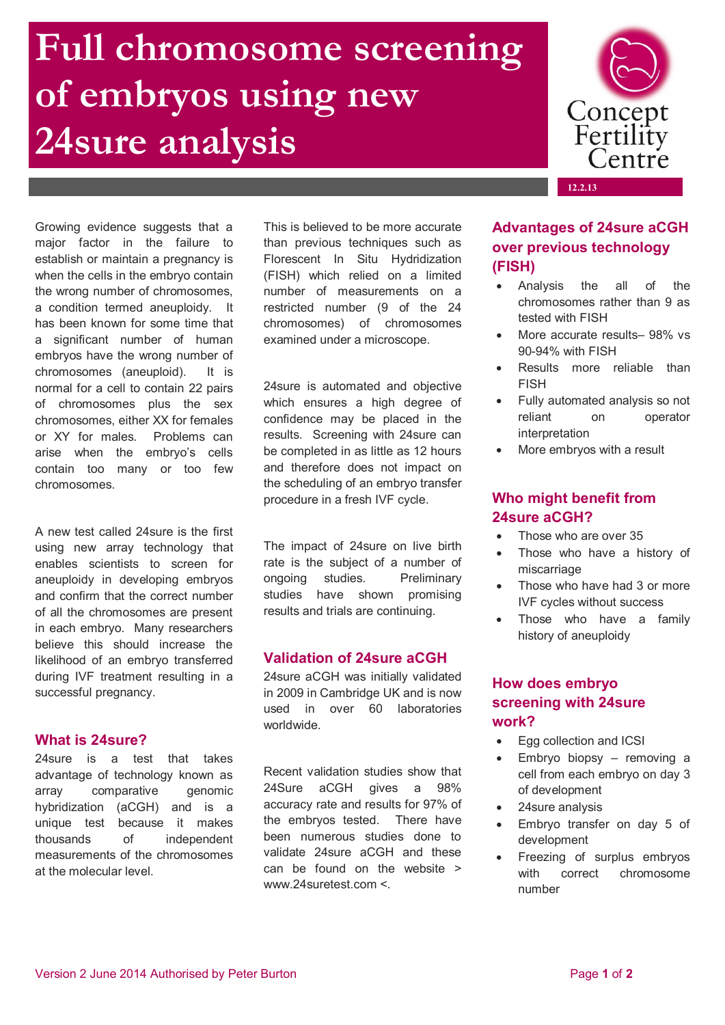# **Full chromosome screening of embryos using new 24sure analysis**



Growing evidence suggests that a major factor in the failure to establish or maintain a pregnancy is when the cells in the embryo contain the wrong number of chromosomes, a condition termed aneuploidy. It has been known for some time that a significant number of human embryos have the wrong number of chromosomes (aneuploid). It is normal for a cell to contain 22 pairs of chromosomes plus the sex chromosomes, either XX for females or XY for males. Problems can arise when the embryo's cells contain too many or too few chromosomes.

A new test called 24sure is the first using new array technology that enables scientists to screen for aneuploidy in developing embryos and confirm that the correct number of all the chromosomes are present in each embryo. Many researchers believe this should increase the likelihood of an embryo transferred during IVF treatment resulting in a successful pregnancy.

### **What is 24sure?**

24sure is a test that takes advantage of technology known as array comparative genomic hybridization (aCGH) and is a unique test because it makes thousands of independent measurements of the chromosomes at the molecular level.

This is believed to be more accurate than previous techniques such as Florescent In Situ Hydridization (FISH) which relied on a limited number of measurements on a restricted number (9 of the 24 chromosomes) of chromosomes examined under a microscope.

24sure is automated and objective which ensures a high degree of confidence may be placed in the results. Screening with 24sure can be completed in as little as 12 hours and therefore does not impact on the scheduling of an embryo transfer procedure in a fresh IVF cycle.

The impact of 24sure on live birth rate is the subject of a number of ongoing studies. Preliminary studies have shown promising results and trials are continuing.

## **Validation of 24sure aCGH**

24sure aCGH was initially validated in 2009 in Cambridge UK and is now used in over 60 laboratories worldwide.

Recent validation studies show that 24Sure aCGH gives a 98% accuracy rate and results for 97% of the embryos tested. There have been numerous studies done to validate 24sure aCGH and these can be found on the website > www.24suretest.com <.

## **Advantages of 24sure aCGH over previous technology (FISH)**

- Analysis the all of the chromosomes rather than 9 as tested with FISH
- More accurate results– 98% vs 90-94% with FISH
- Results more reliable than FISH
- Fully automated analysis so not reliant on operator interpretation
- More embryos with a result

## **Who might benefit from 24sure aCGH?**

- Those who are over 35
- Those who have a history of miscarriage
- Those who have had 3 or more IVF cycles without success
- Those who have a family history of aneuploidy

## **How does embryo screening with 24sure work?**

- Egg collection and ICSI
- Embryo biopsy removing a cell from each embryo on day 3 of development
- 24sure analysis
- Embryo transfer on day 5 of development
- Freezing of surplus embryos with correct chromosome number